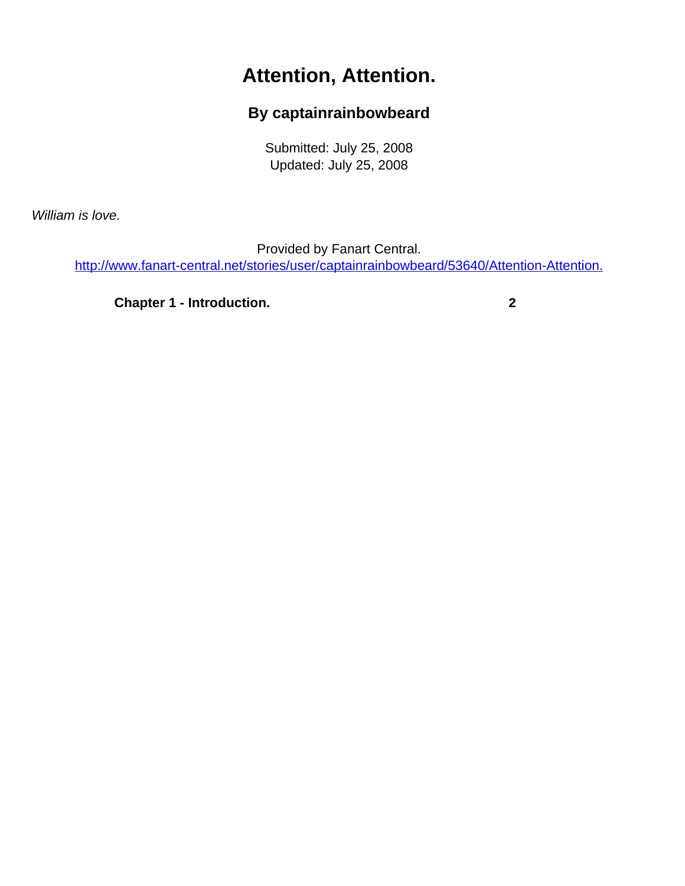## **Attention, Attention.**

## **By captainrainbowbeard**

Submitted: July 25, 2008 Updated: July 25, 2008

<span id="page-0-0"></span>William is love.

Provided by Fanart Central.

[http://www.fanart-central.net/stories/user/captainrainbowbeard/53640/Attention-Attention.](#page-0-0)

**[Chapter 1 - Introduction.](#page-1-0) [2](#page-1-0)**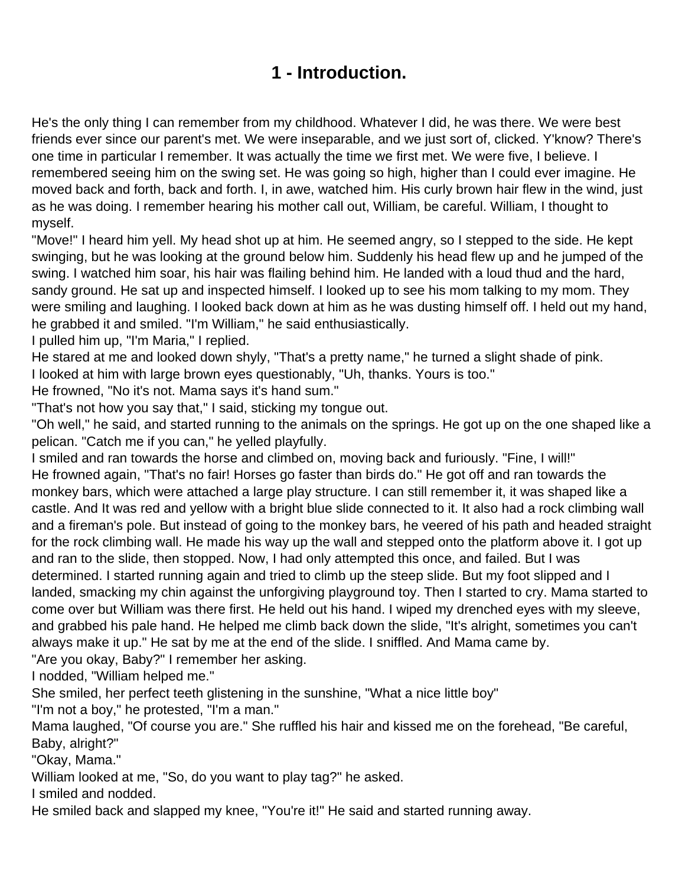## **1 - Introduction.**

<span id="page-1-0"></span>He's the only thing I can remember from my childhood. Whatever I did, he was there. We were best friends ever since our parent's met. We were inseparable, and we just sort of, clicked. Y'know? There's one time in particular I remember. It was actually the time we first met. We were five, I believe. I remembered seeing him on the swing set. He was going so high, higher than I could ever imagine. He moved back and forth, back and forth. I, in awe, watched him. His curly brown hair flew in the wind, just as he was doing. I remember hearing his mother call out, William, be careful. William, I thought to myself.

"Move!" I heard him yell. My head shot up at him. He seemed angry, so I stepped to the side. He kept swinging, but he was looking at the ground below him. Suddenly his head flew up and he jumped of the swing. I watched him soar, his hair was flailing behind him. He landed with a loud thud and the hard, sandy ground. He sat up and inspected himself. I looked up to see his mom talking to my mom. They were smiling and laughing. I looked back down at him as he was dusting himself off. I held out my hand, he grabbed it and smiled. "I'm William," he said enthusiastically.

I pulled him up, "I'm Maria," I replied.

He stared at me and looked down shyly, "That's a pretty name," he turned a slight shade of pink.

I looked at him with large brown eyes questionably, "Uh, thanks. Yours is too."

He frowned, "No it's not. Mama says it's hand sum."

"That's not how you say that," I said, sticking my tongue out.

"Oh well," he said, and started running to the animals on the springs. He got up on the one shaped like a pelican. "Catch me if you can," he yelled playfully.

I smiled and ran towards the horse and climbed on, moving back and furiously. "Fine, I will!" He frowned again, "That's no fair! Horses go faster than birds do." He got off and ran towards the monkey bars, which were attached a large play structure. I can still remember it, it was shaped like a castle. And It was red and yellow with a bright blue slide connected to it. It also had a rock climbing wall and a fireman's pole. But instead of going to the monkey bars, he veered of his path and headed straight for the rock climbing wall. He made his way up the wall and stepped onto the platform above it. I got up and ran to the slide, then stopped. Now, I had only attempted this once, and failed. But I was determined. I started running again and tried to climb up the steep slide. But my foot slipped and I landed, smacking my chin against the unforgiving playground toy. Then I started to cry. Mama started to come over but William was there first. He held out his hand. I wiped my drenched eyes with my sleeve, and grabbed his pale hand. He helped me climb back down the slide, "It's alright, sometimes you can't always make it up." He sat by me at the end of the slide. I sniffled. And Mama came by.

"Are you okay, Baby?" I remember her asking.

I nodded, "William helped me."

She smiled, her perfect teeth glistening in the sunshine, "What a nice little boy"

"I'm not a boy," he protested, "I'm a man."

Mama laughed, "Of course you are." She ruffled his hair and kissed me on the forehead, "Be careful, Baby, alright?"

"Okay, Mama."

William looked at me, "So, do you want to play tag?" he asked.

I smiled and nodded.

He smiled back and slapped my knee, "You're it!" He said and started running away.